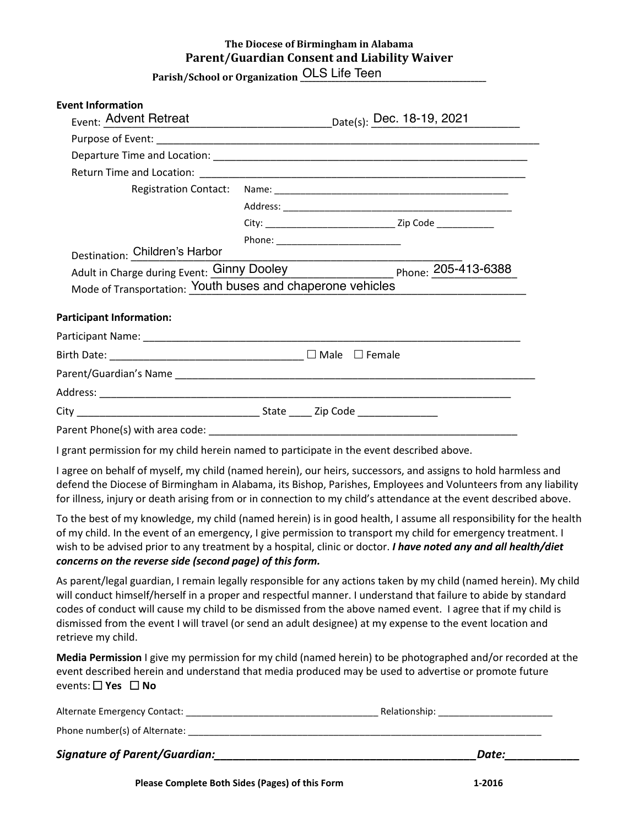## **The Diocese of Birmingham in Alabama Parent/Guardian Consent and Liability Waiver**

**Parish/School or Organization \_\_\_\_\_\_\_\_\_\_\_\_\_\_\_\_\_\_\_\_\_\_\_\_\_\_\_\_\_\_\_\_\_\_\_\_\_\_\_\_\_\_\_\_\_\_\_\_** OLS Life Teen

## **Event Information**

| Event: Advent Retreat                                                                                    |                                   |  |
|----------------------------------------------------------------------------------------------------------|-----------------------------------|--|
|                                                                                                          |                                   |  |
|                                                                                                          |                                   |  |
|                                                                                                          |                                   |  |
| <b>Registration Contact:</b>                                                                             |                                   |  |
|                                                                                                          |                                   |  |
|                                                                                                          |                                   |  |
|                                                                                                          | Phone: __________________________ |  |
| Destination: Children's Harbor                                                                           |                                   |  |
|                                                                                                          |                                   |  |
| Adult in Charge during Event: Ginny Dooley<br>Mode of Transportation: Youth buses and chaperone vehicles |                                   |  |
| <b>Participant Information:</b>                                                                          |                                   |  |
|                                                                                                          |                                   |  |
|                                                                                                          |                                   |  |
|                                                                                                          |                                   |  |
|                                                                                                          |                                   |  |
|                                                                                                          |                                   |  |
| Parent Phone(s) with area code: ___________________                                                      |                                   |  |

I grant permission for my child herein named to participate in the event described above.

I agree on behalf of myself, my child (named herein), our heirs, successors, and assigns to hold harmless and defend the Diocese of Birmingham in Alabama, its Bishop, Parishes, Employees and Volunteers from any liability for illness, injury or death arising from or in connection to my child's attendance at the event described above.

To the best of my knowledge, my child (named herein) is in good health, I assume all responsibility for the health of my child. In the event of an emergency, I give permission to transport my child for emergency treatment. I wish to be advised prior to any treatment by a hospital, clinic or doctor. *I have noted any and all health/diet concerns on the reverse side (second page) of this form.*

As parent/legal guardian, I remain legally responsible for any actions taken by my child (named herein). My child will conduct himself/herself in a proper and respectful manner. I understand that failure to abide by standard codes of conduct will cause my child to be dismissed from the above named event. I agree that if my child is dismissed from the event I will travel (or send an adult designee) at my expense to the event location and retrieve my child.

**Media Permission** I give my permission for my child (named herein) to be photographed and/or recorded at the event described herein and understand that media produced may be used to advertise or promote future events: **Yes No**

| Alternate Emergency Contact:         | Relationship: |
|--------------------------------------|---------------|
| Phone number(s) of Alternate:        |               |
| <b>Signature of Parent/Guardian:</b> | Date:         |
|                                      |               |